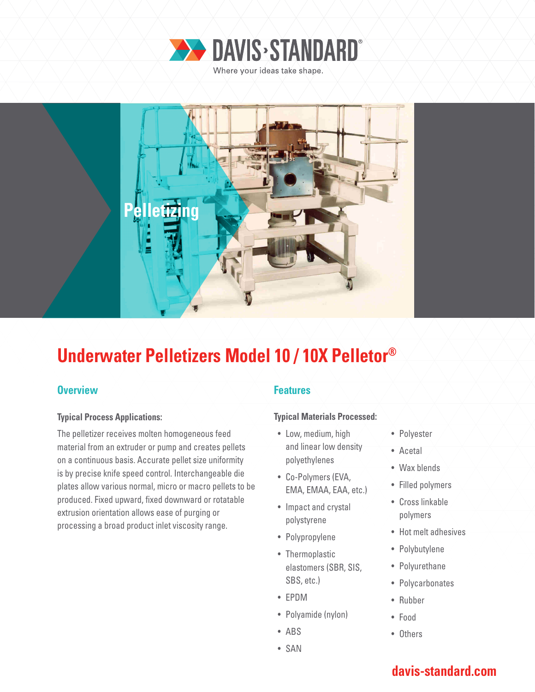



# **Underwater Pelletizers Model 10 / 10X Pelletor®**

### **Overview Allen Accept Accept Accept Accept Features**

### **Typical Process Applications:**

The pelletizer receives molten homogeneous feed material from an extruder or pump and creates pellets on a continuous basis. Accurate pellet size uniformity is by precise knife speed control. Interchangeable die plates allow various normal, micro or macro pellets to be produced. Fixed upward, fixed downward or rotatable extrusion orientation allows ease of purging or processing a broad product inlet viscosity range.

### **Typical Materials Processed:**

- Low, medium, high and linear low density polyethylenes
- Co-Polymers (EVA, EMA, EMAA, EAA, etc.)
- Impact and crystal polystyrene
- Polypropylene
- Thermoplastic elastomers (SBR, SIS, SBS, etc.)
- EPDM
- Polyamide (nylon)
- ABS
- SAN
- Polyester
- Acetal
- Wax blends
- Filled polymers
- Cross linkable polymers
- Hot melt adhesives
- Polybutylene
- Polyurethane
- Polycarbonates
- Rubber
- Food
- Others

## **davis-standard.com**